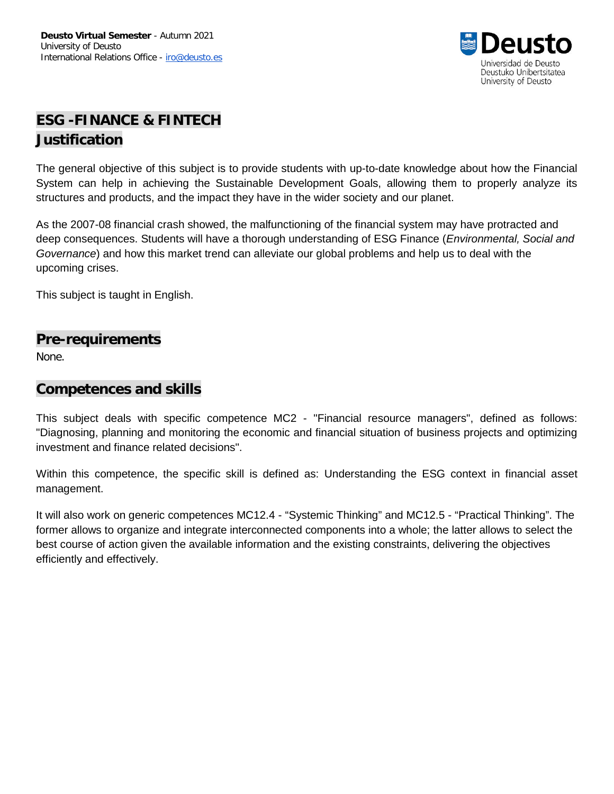

# **ESG -FINANCE & FINTECH Justification**

The general objective of this subject is to provide students with up-to-date knowledge about how the Financial System can help in achieving the Sustainable Development Goals, allowing them to properly analyze its structures and products, and the impact they have in the wider society and our planet.

As the 2007-08 financial crash showed, the malfunctioning of the financial system may have protracted and deep consequences. Students will have a thorough understanding of ESG Finance (*Environmental, Social and Governance*) and how this market trend can alleviate our global problems and help us to deal with the upcoming crises.

This subject is taught in English.

#### **Pre-requirements**

None.

#### **Competences and skills**

This subject deals with specific competence MC2 - "Financial resource managers", defined as follows: "Diagnosing, planning and monitoring the economic and financial situation of business projects and optimizing investment and finance related decisions".

Within this competence, the specific skill is defined as: Understanding the ESG context in financial asset management.

It will also work on generic competences MC12.4 - "Systemic Thinking" and MC12.5 - "Practical Thinking". The former allows to organize and integrate interconnected components into a whole; the latter allows to select the best course of action given the available information and the existing constraints, delivering the objectives efficiently and effectively.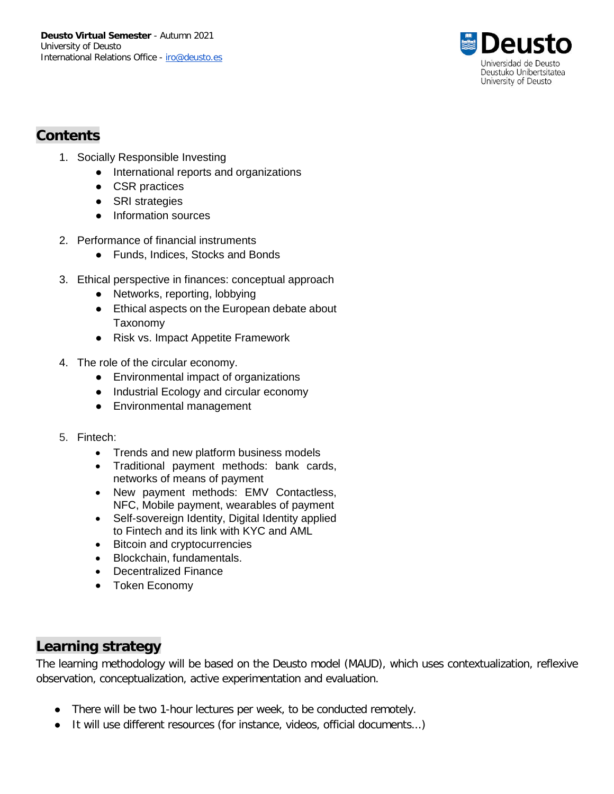

## **Contents**

- 1. Socially Responsible Investing
	- International reports and organizations
	- CSR practices
	- SRI strategies
	- Information sources
- 2. Performance of financial instruments
	- Funds, Indices, Stocks and Bonds
- 3. Ethical perspective in finances: conceptual approach
	- Networks, reporting, lobbying
	- Ethical aspects on the European debate about Taxonomy
	- Risk vs. Impact Appetite Framework
- 4. The role of the circular economy.
	- Environmental impact of organizations
	- Industrial Ecology and circular economy
	- Environmental management
- 5. Fintech:
	- Trends and new platform business models
	- Traditional payment methods: bank cards, networks of means of payment
	- New payment methods: EMV Contactless, NFC, Mobile payment, wearables of payment
	- Self-sovereign Identity, Digital Identity applied to Fintech and its link with KYC and AML
	- Bitcoin and cryptocurrencies
	- Blockchain, fundamentals.
	- Decentralized Finance
	- Token Economy

### **Learning strategy**

The learning methodology will be based on the Deusto model (MAUD), which uses contextualization, reflexive observation, conceptualization, active experimentation and evaluation.

- There will be two 1-hour lectures per week, to be conducted remotely.
- It will use different resources (for instance, videos, official documents...)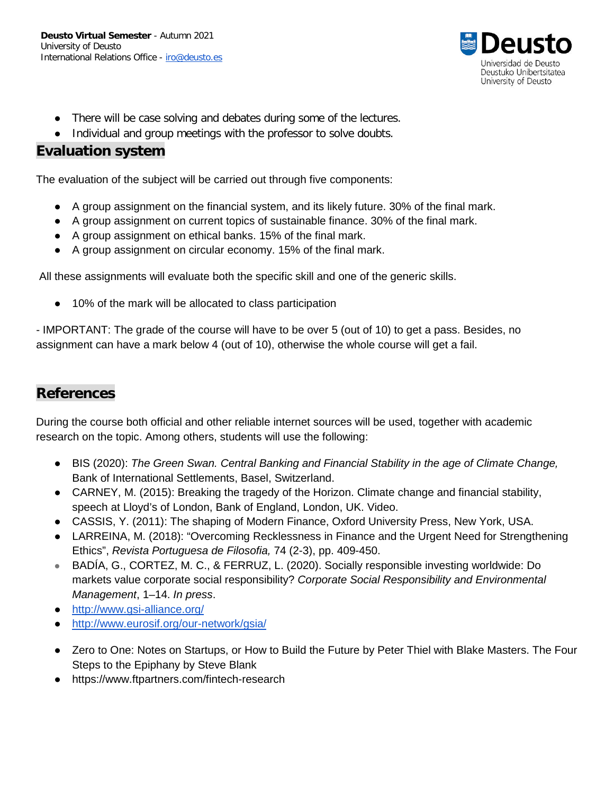

- There will be case solving and debates during some of the lectures.
- Individual and group meetings with the professor to solve doubts.

#### **Evaluation system**

The evaluation of the subject will be carried out through five components:

- A group assignment on the financial system, and its likely future. 30% of the final mark.
- A group assignment on current topics of sustainable finance. 30% of the final mark.
- A group assignment on ethical banks. 15% of the final mark.
- A group assignment on circular economy. 15% of the final mark.

All these assignments will evaluate both the specific skill and one of the generic skills.

● 10% of the mark will be allocated to class participation

- IMPORTANT: The grade of the course will have to be over 5 (out of 10) to get a pass. Besides, no assignment can have a mark below 4 (out of 10), otherwise the whole course will get a fail.

### **References**

During the course both official and other reliable internet sources will be used, together with academic research on the topic. Among others, students will use the following:

- BIS (2020): *The Green Swan. Central Banking and Financial Stability in the age of Climate Change,*  Bank of International Settlements, Basel, Switzerland.
- CARNEY, M. (2015): Breaking the tragedy of the Horizon. Climate change and financial stability, speech at Lloyd's of London, Bank of England, London, UK. Video.
- CASSIS, Y. (2011): The shaping of Modern Finance, Oxford University Press, New York, USA.
- LARREINA, M. (2018): "Overcoming Recklessness in Finance and the Urgent Need for Strengthening Ethics", *Revista Portuguesa de Filosofia,* 74 (2-3), pp. 409-450.
- BADÍA, G., CORTEZ, M. C., & FERRUZ, L. (2020). Socially responsible investing worldwide: Do markets value corporate social responsibility? *Corporate Social Responsibility and Environmental Management*, 1–14. *In press*.
- <http://www.gsi-alliance.org/>
- <http://www.eurosif.org/our-network/gsia/>
- Zero to One: Notes on Startups, or How to Build the Future by Peter Thiel with Blake Masters. The Four Steps to the Epiphany by Steve Blank
- https://www.ftpartners.com/fintech-research